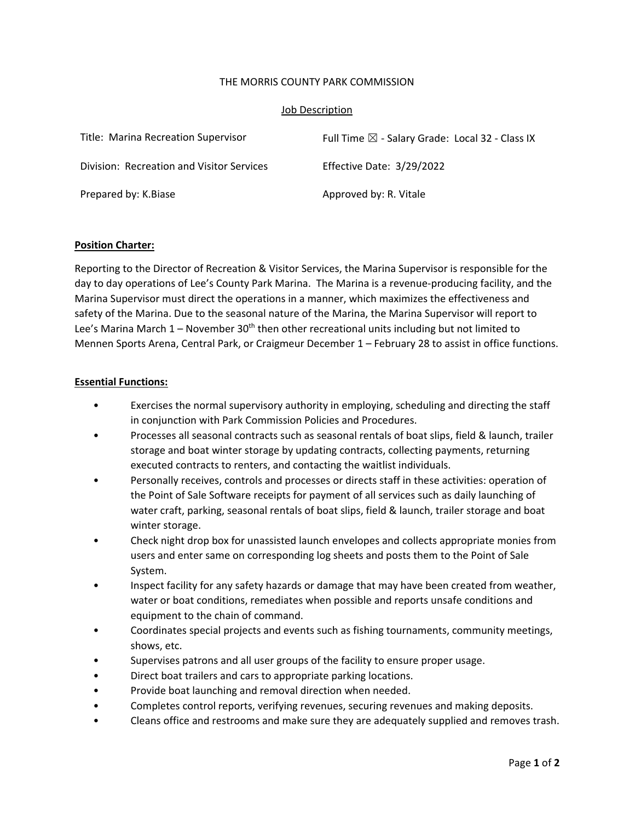### THE MORRIS COUNTY PARK COMMISSION

### Job Description

| Title: Marina Recreation Supervisor       | Full Time $\boxtimes$ - Salary Grade: Local 32 - Class IX |
|-------------------------------------------|-----------------------------------------------------------|
| Division: Recreation and Visitor Services | Effective Date: 3/29/2022                                 |
| Prepared by: K.Biase                      | Approved by: R. Vitale                                    |

### **Position Charter:**

Reporting to the Director of Recreation & Visitor Services, the Marina Supervisor is responsible for the day to day operations of Lee's County Park Marina. The Marina is a revenue‐producing facility, and the Marina Supervisor must direct the operations in a manner, which maximizes the effectiveness and safety of the Marina. Due to the seasonal nature of the Marina, the Marina Supervisor will report to Lee's Marina March  $1$  – November 30<sup>th</sup> then other recreational units including but not limited to Mennen Sports Arena, Central Park, or Craigmeur December 1 – February 28 to assist in office functions.

### **Essential Functions:**

- Exercises the normal supervisory authority in employing, scheduling and directing the staff in conjunction with Park Commission Policies and Procedures.
- Processes all seasonal contracts such as seasonal rentals of boat slips, field & launch, trailer storage and boat winter storage by updating contracts, collecting payments, returning executed contracts to renters, and contacting the waitlist individuals.
- Personally receives, controls and processes or directs staff in these activities: operation of the Point of Sale Software receipts for payment of all services such as daily launching of water craft, parking, seasonal rentals of boat slips, field & launch, trailer storage and boat winter storage.
- Check night drop box for unassisted launch envelopes and collects appropriate monies from users and enter same on corresponding log sheets and posts them to the Point of Sale System.
- Inspect facility for any safety hazards or damage that may have been created from weather, water or boat conditions, remediates when possible and reports unsafe conditions and equipment to the chain of command.
- Coordinates special projects and events such as fishing tournaments, community meetings, shows, etc.
- Supervises patrons and all user groups of the facility to ensure proper usage.
- Direct boat trailers and cars to appropriate parking locations.
- Provide boat launching and removal direction when needed.
- Completes control reports, verifying revenues, securing revenues and making deposits.
- Cleans office and restrooms and make sure they are adequately supplied and removes trash.